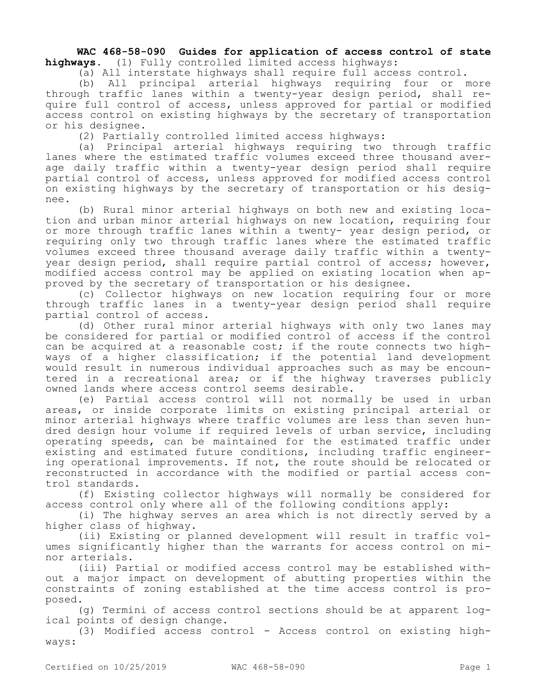**WAC 468-58-090 Guides for application of access control of state highways.** (1) Fully controlled limited access highways:

(a) All interstate highways shall require full access control.

(b) All principal arterial highways requiring four or more through traffic lanes within a twenty-year design period, shall require full control of access, unless approved for partial or modified access control on existing highways by the secretary of transportation or his designee.

(2) Partially controlled limited access highways:

(a) Principal arterial highways requiring two through traffic lanes where the estimated traffic volumes exceed three thousand average daily traffic within a twenty-year design period shall require partial control of access, unless approved for modified access control on existing highways by the secretary of transportation or his designee.

(b) Rural minor arterial highways on both new and existing location and urban minor arterial highways on new location, requiring four or more through traffic lanes within a twenty- year design period, or requiring only two through traffic lanes where the estimated traffic volumes exceed three thousand average daily traffic within a twentyyear design period, shall require partial control of access; however, modified access control may be applied on existing location when approved by the secretary of transportation or his designee.

(c) Collector highways on new location requiring four or more through traffic lanes in a twenty-year design period shall require partial control of access.

(d) Other rural minor arterial highways with only two lanes may be considered for partial or modified control of access if the control can be acquired at a reasonable cost; if the route connects two highways of a higher classification; if the potential land development would result in numerous individual approaches such as may be encountered in a recreational area; or if the highway traverses publicly owned lands where access control seems desirable.

(e) Partial access control will not normally be used in urban areas, or inside corporate limits on existing principal arterial or minor arterial highways where traffic volumes are less than seven hundred design hour volume if required levels of urban service, including operating speeds, can be maintained for the estimated traffic under existing and estimated future conditions, including traffic engineering operational improvements. If not, the route should be relocated or reconstructed in accordance with the modified or partial access control standards.

(f) Existing collector highways will normally be considered for access control only where all of the following conditions apply:

(i) The highway serves an area which is not directly served by a higher class of highway.

(ii) Existing or planned development will result in traffic volumes significantly higher than the warrants for access control on minor arterials.

(iii) Partial or modified access control may be established without a major impact on development of abutting properties within the constraints of zoning established at the time access control is proposed.

(g) Termini of access control sections should be at apparent logical points of design change.

(3) Modified access control - Access control on existing highways: